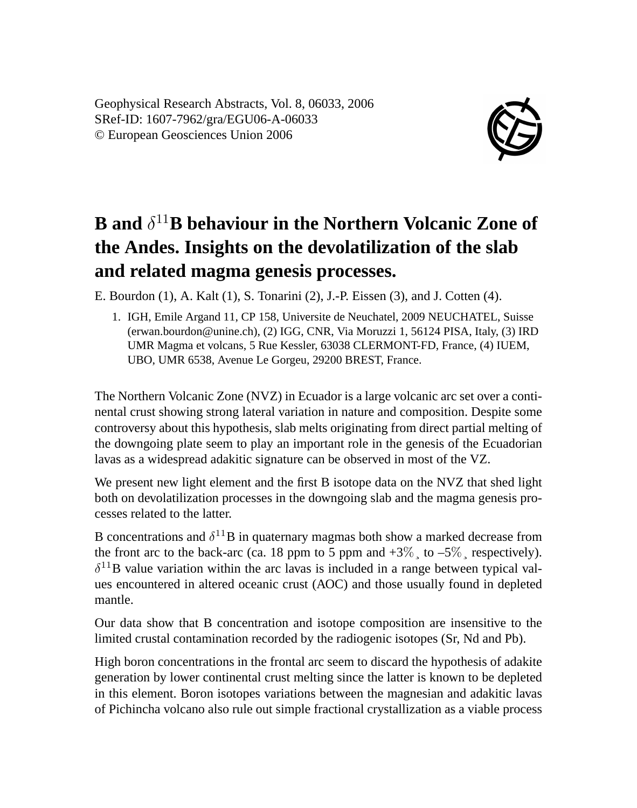

## **B and** δ <sup>11</sup>**B behaviour in the Northern Volcanic Zone of the Andes. Insights on the devolatilization of the slab and related magma genesis processes.**

E. Bourdon (1), A. Kalt (1), S. Tonarini (2), J.-P. Eissen (3), and J. Cotten (4).

1. IGH, Emile Argand 11, CP 158, Universite de Neuchatel, 2009 NEUCHATEL, Suisse (erwan.bourdon@unine.ch), (2) IGG, CNR, Via Moruzzi 1, 56124 PISA, Italy, (3) IRD UMR Magma et volcans, 5 Rue Kessler, 63038 CLERMONT-FD, France, (4) IUEM, UBO, UMR 6538, Avenue Le Gorgeu, 29200 BREST, France.

The Northern Volcanic Zone (NVZ) in Ecuador is a large volcanic arc set over a continental crust showing strong lateral variation in nature and composition. Despite some controversy about this hypothesis, slab melts originating from direct partial melting of the downgoing plate seem to play an important role in the genesis of the Ecuadorian lavas as a widespread adakitic signature can be observed in most of the VZ.

We present new light element and the first B isotope data on the NVZ that shed light both on devolatilization processes in the downgoing slab and the magma genesis processes related to the latter.

B concentrations and  $\delta^{11}$ B in quaternary magmas both show a marked decrease from the front arc to the back-arc (ca. 18 ppm to 5 ppm and  $+3\%$ , to  $-5\%$ , respectively).  $\delta^{11}$ B value variation within the arc lavas is included in a range between typical values encountered in altered oceanic crust (AOC) and those usually found in depleted mantle.

Our data show that B concentration and isotope composition are insensitive to the limited crustal contamination recorded by the radiogenic isotopes (Sr, Nd and Pb).

High boron concentrations in the frontal arc seem to discard the hypothesis of adakite generation by lower continental crust melting since the latter is known to be depleted in this element. Boron isotopes variations between the magnesian and adakitic lavas of Pichincha volcano also rule out simple fractional crystallization as a viable process